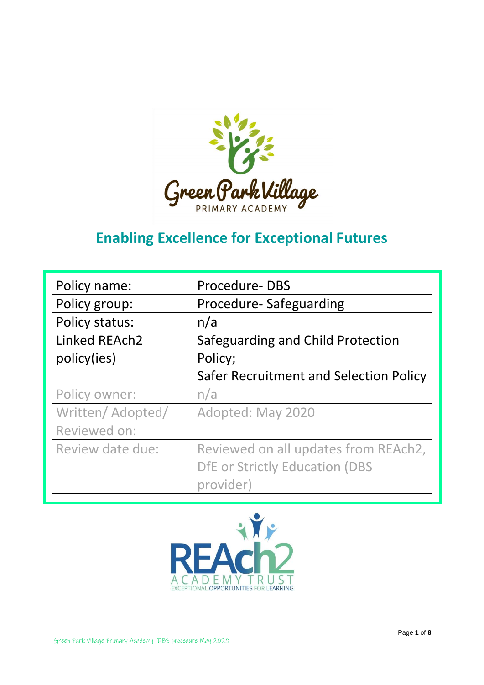

## **Enabling Excellence for Exceptional Futures**

| Policy name:      | Procedure-DBS                          |  |  |
|-------------------|----------------------------------------|--|--|
| Policy group:     | Procedure-Safeguarding                 |  |  |
| Policy status:    | n/a                                    |  |  |
| Linked REAch2     | Safeguarding and Child Protection      |  |  |
| policy(ies)       | Policy;                                |  |  |
|                   | Safer Recruitment and Selection Policy |  |  |
| Policy owner:     | n/a                                    |  |  |
| Written/ Adopted/ | Adopted: May 2020                      |  |  |
| Reviewed on:      |                                        |  |  |
| Review date due:  | Reviewed on all updates from REAch2,   |  |  |
|                   | <b>DfE or Strictly Education (DBS</b>  |  |  |
|                   | provider)                              |  |  |

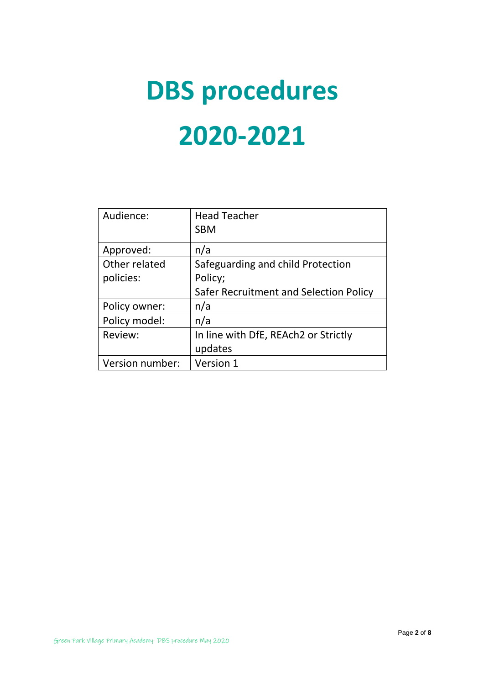# **DBS procedures 2020-2021**

| Audience:       | <b>Head Teacher</b>                    |  |
|-----------------|----------------------------------------|--|
|                 | <b>SBM</b>                             |  |
| Approved:       | n/a                                    |  |
| Other related   | Safeguarding and child Protection      |  |
| policies:       | Policy;                                |  |
|                 | Safer Recruitment and Selection Policy |  |
| Policy owner:   | n/a                                    |  |
| Policy model:   | n/a                                    |  |
| Review:         | In line with DfE, REAch2 or Strictly   |  |
|                 | updates                                |  |
| Version number: | Version 1                              |  |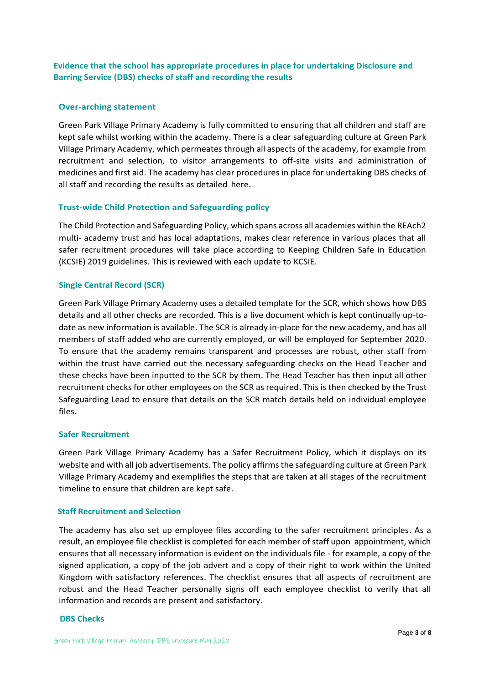**Evidence that the school has appropriate procedures in place for undertaking Disclosure and Barring Service (DBS) checks of staff and recording the results**

#### **Over-arching statement**

Green Park Village Primary Academy is fully committed to ensuring that all children and staff are kept safe whilst working within the academy. There is a clear safeguarding culture at Green Park Village Primary Academy, which permeates through all aspects of the academy, for example from recruitment and selection, to visitor arrangements to off-site visits and administration of medicines and first aid. The academy has clear procedures in place for undertaking DBS checks of all staff and recording the results as detailed here.

#### **Trust-wide Child Protection and Safeguarding policy**

The Child Protection and Safeguarding Policy, which spans across all academies within the REAch2 multi- academy trust and has local adaptations, makes clear reference in various places that all safer recruitment procedures will take place according to Keeping Children Safe in Education (KCSIE) 2019 guidelines. This is reviewed with each update to KCSIE.

#### **Single Central Record (SCR)**

Green Park Village Primary Academy uses a detailed template for the SCR, which shows how DBS details and all other checks are recorded. This is a live document which is kept continually up-todate as new information is available. The SCR is already in-place for the new academy, and has all members of staff added who are currently employed, or will be employed for September 2020. To ensure that the academy remains transparent and processes are robust, other staff from within the trust have carried out the necessary safeguarding checks on the Head Teacher and these checks have been inputted to the SCR by them. The Head Teacher has then input all other recruitment checks for other employees on the SCR as required. This is then checked by the Trust Safeguarding Lead to ensure that details on the SCR match details held on individual employee files.

#### **Safer Recruitment**

Green Park Village Primary Academy has a Safer Recruitment Policy, which it displays on its website and with all job advertisements. The policy affirms the safeguarding culture at Green Park Village Primary Academy and exemplifies the steps that are taken at all stages of the recruitment timeline to ensure that children are kept safe.

#### **Staff Recruitment and Selection**

The academy has also set up employee files according to the safer recruitment principles. As a result, an employee file checklist is completed for each member of staff upon appointment, which ensures that all necessary information is evident on the individuals file - for example, a copy of the signed application, a copy of the job advert and a copy of their right to work within the United Kingdom with satisfactory references. The checklist ensures that all aspects of recruitment are robust and the Head Teacher personally signs off each employee checklist to verify that all information and records are present and satisfactory.

#### **DBS Checks**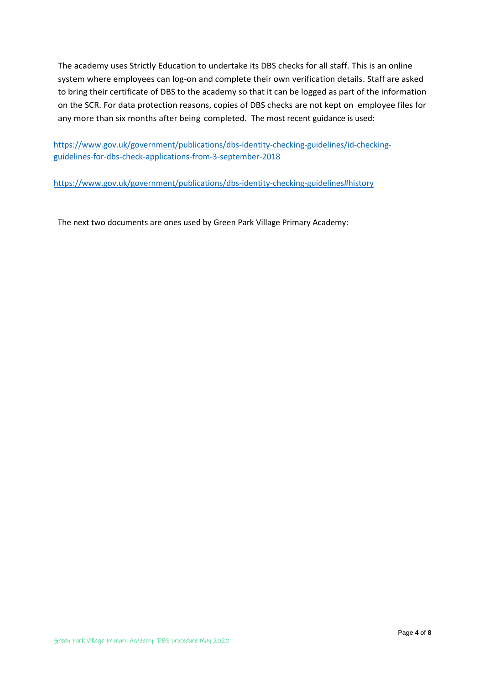The academy uses Strictly Education to undertake its DBS checks for all staff. This is an online system where employees can log-on and complete their own verification details. Staff are asked to bring their certificate of DBS to the academy so that it can be logged as part of the information on the SCR. For data protection reasons, copies of DBS checks are not kept on employee files for any more than six months after being completed. The most recent guidance is used:

[https://www.gov.uk/government/publications/dbs-identity-checking-guidelines/id-checking](https://www.gov.uk/government/publications/dbs-identity-checking-guidelines/id-checking-guidelines-for-dbs-check-applications-from-3-september-2018)[guidelines-for-dbs-check-applications-from-3-september-2018](https://www.gov.uk/government/publications/dbs-identity-checking-guidelines/id-checking-guidelines-for-dbs-check-applications-from-3-september-2018)

<https://www.gov.uk/government/publications/dbs-identity-checking-guidelines#history>

The next two documents are ones used by Green Park Village Primary Academy: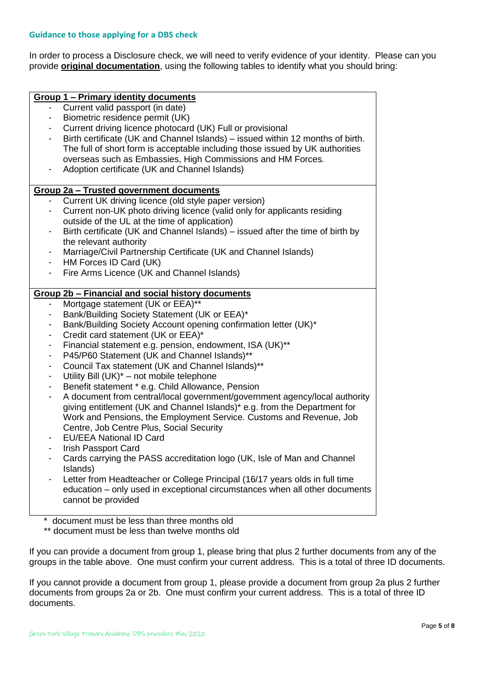In order to process a Disclosure check, we will need to verify evidence of your identity. Please can you provide **original documentation**, using the following tables to identify what you should bring:

|                | <b>Group 1 - Primary identity documents</b>                                                    |
|----------------|------------------------------------------------------------------------------------------------|
|                | Current valid passport (in date)                                                               |
| $\blacksquare$ | Biometric residence permit (UK)                                                                |
| ٠              | Current driving licence photocard (UK) Full or provisional                                     |
| ۰              | Birth certificate (UK and Channel Islands) – issued within 12 months of birth.                 |
|                | The full of short form is acceptable including those issued by UK authorities                  |
|                | overseas such as Embassies, High Commissions and HM Forces.                                    |
| ٠              | Adoption certificate (UK and Channel Islands)                                                  |
|                |                                                                                                |
|                | Group 2a - Trusted government documents                                                        |
|                | Current UK driving licence (old style paper version)                                           |
| ٠              | Current non-UK photo driving licence (valid only for applicants residing                       |
|                | outside of the UL at the time of application)                                                  |
| ٠              | Birth certificate (UK and Channel Islands) – issued after the time of birth by                 |
|                | the relevant authority                                                                         |
| $\blacksquare$ | Marriage/Civil Partnership Certificate (UK and Channel Islands)                                |
| $\blacksquare$ | HM Forces ID Card (UK)                                                                         |
| $\blacksquare$ | Fire Arms Licence (UK and Channel Islands)                                                     |
|                |                                                                                                |
|                | Group 2b - Financial and social history documents                                              |
| ٠              | Mortgage statement (UK or EEA)**                                                               |
| ٠              | Bank/Building Society Statement (UK or EEA)*                                                   |
| ٠              | Bank/Building Society Account opening confirmation letter (UK)*                                |
| ٠              | Credit card statement (UK or EEA)*                                                             |
| ٠              | Financial statement e.g. pension, endowment, ISA (UK)**                                        |
| ٠              | P45/P60 Statement (UK and Channel Islands)**                                                   |
|                | Council Tax statement (UK and Channel Islands)**                                               |
| $\blacksquare$ | Utility Bill (UK)* - not mobile telephone                                                      |
| ٠              | Benefit statement * e.g. Child Allowance, Pension                                              |
| ٠              | A document from central/local government/government agency/local authority                     |
|                | giving entitlement (UK and Channel Islands)* e.g. from the Department for                      |
|                | Work and Pensions, the Employment Service. Customs and Revenue, Job                            |
|                | Centre, Job Centre Plus, Social Security                                                       |
|                | <b>EU/EEA National ID Card</b>                                                                 |
| $\blacksquare$ | <b>Irish Passport Card</b>                                                                     |
|                | Cards carrying the PASS accreditation logo (UK, Isle of Man and Channel                        |
|                | Islands)                                                                                       |
|                | Letter from Headteacher or College Principal (16/17 years olds in full time                    |
|                | education – only used in exceptional circumstances when all other documents                    |
|                | cannot be provided                                                                             |
|                |                                                                                                |
|                | document must be less than three months old<br>** document must be less than twelve months old |

If you can provide a document from group 1, please bring that plus 2 further documents from any of the groups in the table above. One must confirm your current address. This is a total of three ID documents.

If you cannot provide a document from group 1, please provide a document from group 2a plus 2 further documents from groups 2a or 2b. One must confirm your current address. This is a total of three ID documents.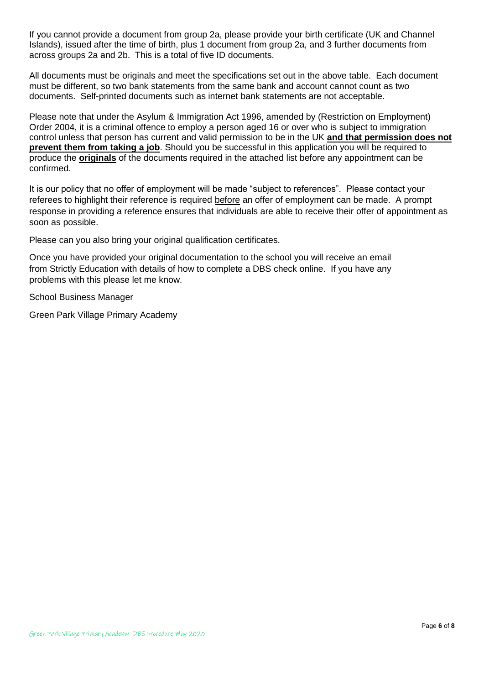If you cannot provide a document from group 2a, please provide your birth certificate (UK and Channel Islands), issued after the time of birth, plus 1 document from group 2a, and 3 further documents from across groups 2a and 2b. This is a total of five ID documents.

All documents must be originals and meet the specifications set out in the above table. Each document must be different, so two bank statements from the same bank and account cannot count as two documents. Self-printed documents such as internet bank statements are not acceptable.

Please note that under the Asylum & Immigration Act 1996, amended by (Restriction on Employment) Order 2004, it is a criminal offence to employ a person aged 16 or over who is subject to immigration control unless that person has current and valid permission to be in the UK **and that permission does not prevent them from taking a job**. Should you be successful in this application you will be required to produce the **originals** of the documents required in the attached list before any appointment can be confirmed.

It is our policy that no offer of employment will be made "subject to references". Please contact your referees to highlight their reference is required before an offer of employment can be made. A prompt response in providing a reference ensures that individuals are able to receive their offer of appointment as soon as possible.

Please can you also bring your original qualification certificates.

Once you have provided your original documentation to the school you will receive an email from Strictly Education with details of how to complete a DBS check online. If you have any problems with this please let me know.

School Business Manager

Green Park Village Primary Academy